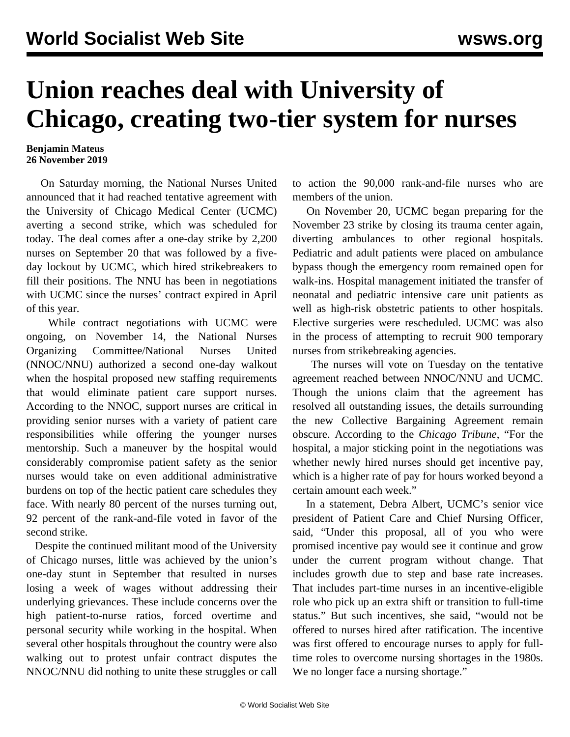## **Union reaches deal with University of Chicago, creating two-tier system for nurses**

## **Benjamin Mateus 26 November 2019**

 On Saturday morning, the National Nurses United announced that it had reached tentative agreement with the University of Chicago Medical Center (UCMC) averting a second strike, which was scheduled for today. The deal comes after a one-day strike by 2,200 nurses on September 20 that was followed by a fiveday lockout by UCMC, which hired strikebreakers to fill their positions. The NNU has been in negotiations with UCMC since the nurses' contract expired in April of this year.

 While contract negotiations with UCMC were ongoing, on November 14, the National Nurses Organizing Committee/National Nurses United (NNOC/NNU) authorized a second one-day walkout when the hospital proposed new staffing requirements that would eliminate patient care support nurses. According to the NNOC, support nurses are critical in providing senior nurses with a variety of patient care responsibilities while offering the younger nurses mentorship. Such a maneuver by the hospital would considerably compromise patient safety as the senior nurses would take on even additional administrative burdens on top of the hectic patient care schedules they face. With nearly 80 percent of the nurses turning out, 92 percent of the rank-and-file voted in favor of the second strike.

 Despite the continued militant mood of the University of Chicago nurses, little was achieved by the union's one-day stunt in September that resulted in nurses losing a week of wages without addressing their underlying grievances. These include concerns over the high patient-to-nurse ratios, forced overtime and personal security while working in the hospital. When several other hospitals throughout the country were also walking out to protest unfair contract disputes the NNOC/NNU did nothing to unite these struggles or call

to action the 90,000 rank-and-file nurses who are members of the union.

 On November 20, UCMC began preparing for the November 23 strike by closing its trauma center again, diverting ambulances to other regional hospitals. Pediatric and adult patients were placed on ambulance bypass though the emergency room remained open for walk-ins. Hospital management initiated the transfer of neonatal and pediatric intensive care unit patients as well as high-risk obstetric patients to other hospitals. Elective surgeries were rescheduled. UCMC was also in the process of attempting to recruit 900 temporary nurses from strikebreaking agencies.

 The nurses will vote on Tuesday on the tentative agreement reached between NNOC/NNU and UCMC. Though the unions claim that the agreement has resolved all outstanding issues, the details surrounding the new Collective Bargaining Agreement remain obscure. According to the *Chicago Tribune*, "For the hospital, a major sticking point in the negotiations was whether newly hired nurses should get incentive pay, which is a higher rate of pay for hours worked beyond a certain amount each week."

 In a statement, Debra Albert, UCMC's senior vice president of Patient Care and Chief Nursing Officer, said, "Under this proposal, all of you who were promised incentive pay would see it continue and grow under the current program without change. That includes growth due to step and base rate increases. That includes part-time nurses in an incentive-eligible role who pick up an extra shift or transition to full-time status." But such incentives, she said, "would not be offered to nurses hired after ratification. The incentive was first offered to encourage nurses to apply for fulltime roles to overcome nursing shortages in the 1980s. We no longer face a nursing shortage."